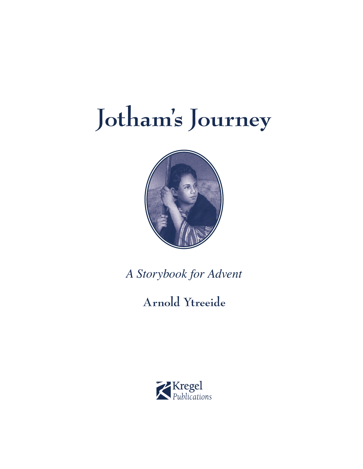# **Jotham's Journey**



*A Storybook for Advent*

#### **Arnold Ytreeide**

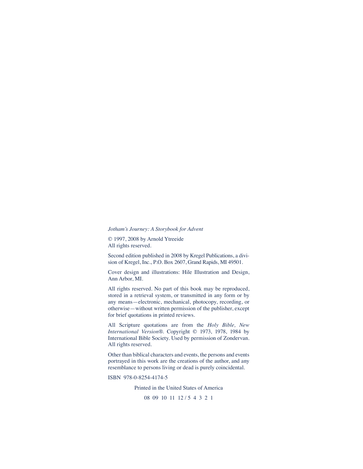#### *Jotham's Journey: A Storybook for Advent*

© 1997, 2008 by Arnold Ytreeide All rights reserved.

Second edition published in 2008 by Kregel Publications, a division of Kregel, Inc., P.O. Box 2607, Grand Rapids, MI 49501.

Cover design and illustrations: Hile Illustration and Design, Ann Arbor, MI.

All rights reserved. No part of this book may be reproduced, stored in a retrieval system, or transmitted in any form or by any means—electronic, mechanical, photocopy, recording, or otherwise—without written permission of the publisher, except for brief quotations in printed reviews.

All Scripture quotations are from the *Holy Bible, New International Version*®. Copyright © 1973, 1978, 1984 by International Bible Society. Used by permission of Zondervan. All rights reserved.

Other than biblical characters and events, the persons and events portrayed in this work are the creations of the author, and any resemblance to persons living or dead is purely coincidental.

ISBN 978-0-8254-4174-5

Printed in the United States of America

08 09 10 11 12 / 5 4 3 2 1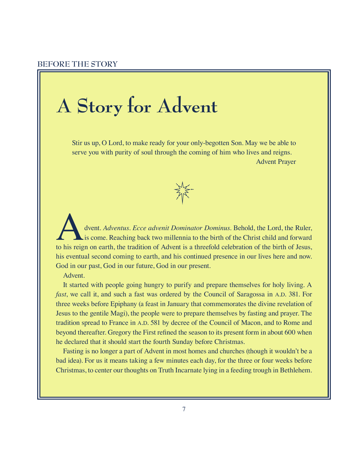## **A Story for Advent**

Stir us up, O Lord, to make ready for your only-begotten Son. May we be able to serve you with purity of soul through the coming of him who lives and reigns. Advent Prayer



dvent. *Adventus. Ecce advenit Dominator Dominus*. Behold, the Lord, the Ruler, is come. Reaching back two millennia to the birth of the Christ child and forward to his reign on earth, the tradition of Advent is a threefol is come. Reaching back two millennia to the birth of the Christ child and forward to his reign on earth, the tradition of Advent is a threefold celebration of the birth of Jesus, his eventual second coming to earth, and his continued presence in our lives here and now. God in our past, God in our future, God in our present.

Advent.

It started with people going hungry to purify and prepare themselves for holy living. A *fast*, we call it, and such a fast was ordered by the Council of Saragossa in A.D. 381. For three weeks before Epiphany (a feast in January that commemorates the divine revelation of Jesus to the gentile Magi), the people were to prepare themselves by fasting and prayer. The tradition spread to France in A.D. 581 by decree of the Council of Macon, and to Rome and beyond thereafter. Gregory the First refined the season to its present form in about 600 when he declared that it should start the fourth Sunday before Christmas.

Fasting is no longer a part of Advent in most homes and churches (though it wouldn't be a bad idea). For us it means taking a few minutes each day, for the three or four weeks before Christmas, to center our thoughts on Truth Incarnate lying in a feeding trough in Bethlehem.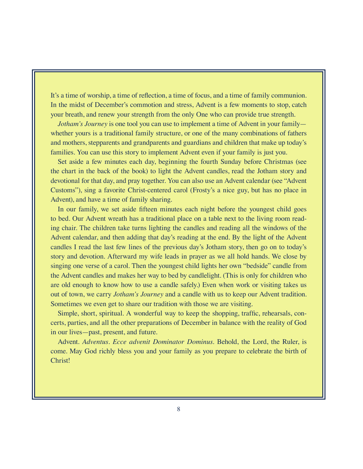It's a time of worship, a time of reflection, a time of focus, and a time of family communion. In the midst of December's commotion and stress, Advent is a few moments to stop, catch your breath, and renew your strength from the only One who can provide true strength.

*Jotham's Journey* is one tool you can use to implement a time of Advent in your family whether yours is a traditional family structure, or one of the many combinations of fathers and mothers, stepparents and grandparents and guardians and children that make up today's families. You can use this story to implement Advent even if your family is just you.

Set aside a few minutes each day, beginning the fourth Sunday before Christmas (see the chart in the back of the book) to light the Advent candles, read the Jotham story and devotional for that day, and pray together. You can also use an Advent calendar (see "Advent Customs"), sing a favorite Christ-centered carol (Frosty's a nice guy, but has no place in Advent), and have a time of family sharing.

In our family, we set aside fifteen minutes each night before the youngest child goes to bed. Our Advent wreath has a traditional place on a table next to the living room reading chair. The children take turns lighting the candles and reading all the windows of the Advent calendar, and then adding that day's reading at the end. By the light of the Advent candles I read the last few lines of the previous day's Jotham story, then go on to today's story and devotion. Afterward my wife leads in prayer as we all hold hands. We close by singing one verse of a carol. Then the youngest child lights her own "bedside" candle from the Advent candles and makes her way to bed by candlelight. (This is only for children who are old enough to know how to use a candle safely.) Even when work or visiting takes us out of town, we carry *Jotham's Journey* and a candle with us to keep our Advent tradition. Sometimes we even get to share our tradition with those we are visiting.

Simple, short, spiritual. A wonderful way to keep the shopping, traffic, rehearsals, concerts, parties, and all the other preparations of December in balance with the reality of God in our lives—past, present, and future.

Advent. *Adventus. Ecce advenit Dominator Dominus*. Behold, the Lord, the Ruler, is come. May God richly bless you and your family as you prepare to celebrate the birth of Christ!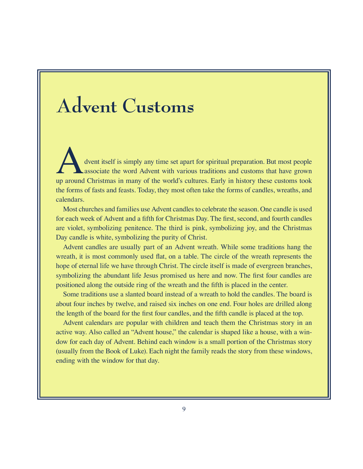### **Advent Customs**

dvent itself is simply any time set apart for spiritual preparation. But most people associate the word Advent with various traditions and customs that have grown up around Christmas in many of the world's cultures. Early in history these customs took the forms of fasts and feasts. Today, they most often take the forms of candles, wreaths, and calendars.

Most churches and families use Advent candles to celebrate the season. One candle is used for each week of Advent and a fifth for Christmas Day. The first, second, and fourth candles are violet, symbolizing penitence. The third is pink, symbolizing joy, and the Christmas Day candle is white, symbolizing the purity of Christ.

Advent candles are usually part of an Advent wreath. While some traditions hang the wreath, it is most commonly used flat, on a table. The circle of the wreath represents the hope of eternal life we have through Christ. The circle itself is made of evergreen branches, symbolizing the abundant life Jesus promised us here and now. The first four candles are positioned along the outside ring of the wreath and the fifth is placed in the center.

Some traditions use a slanted board instead of a wreath to hold the candles. The board is about four inches by twelve, and raised six inches on one end. Four holes are drilled along the length of the board for the first four candles, and the fifth candle is placed at the top.

Advent calendars are popular with children and teach them the Christmas story in an active way. Also called an "Advent house," the calendar is shaped like a house, with a window for each day of Advent. Behind each window is a small portion of the Christmas story (usually from the Book of Luke). Each night the family reads the story from these windows, ending with the window for that day.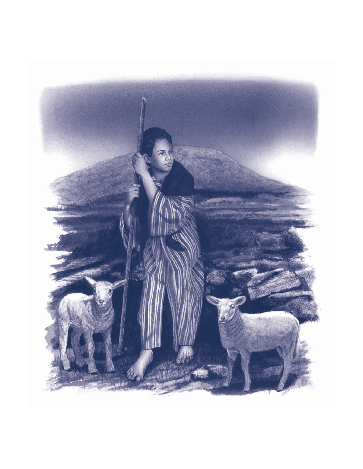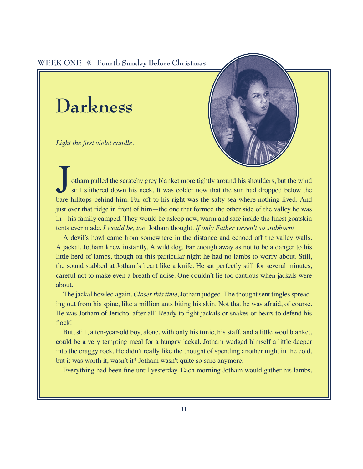#### **WEEK ONE Fourth Sunday Before Christmas**

### **Darkness**

Light the first violet candle.



In the mulled the scratchy grey blanket more tightly around his shoulders, but the wind<br>still slithered down his neck. It was colder now that the sun had dropped below the<br>bare hilltops behind him. Far off to his right was otham pulled the scratchy grey blanket more tightly around his shoulders, but the wind still slithered down his neck. It was colder now that the sun had dropped below the just over that ridge in front of him—the one that formed the other side of the valley he was in—his family camped. They would be asleep now, warm and safe inside the finest goatskin tents ever made. *I would be, too,* Jotham thought. *If only Father weren't so stubborn!*

A devil's howl came from somewhere in the distance and echoed off the valley walls. A jackal, Jotham knew instantly. A wild dog. Far enough away as not to be a danger to his little herd of lambs, though on this particular night he had no lambs to worry about. Still, the sound stabbed at Jotham's heart like a knife. He sat perfectly still for several minutes, careful not to make even a breath of noise. One couldn't lie too cautious when jackals were about.

The jackal howled again. *Closer this time*, Jotham judged. The thought sent tingles spreading out from his spine, like a million ants biting his skin. Not that he was afraid, of course. He was Jotham of Jericho, after all! Ready to fight jackals or snakes or bears to defend his flock!

But, still, a ten-year-old boy, alone, with only his tunic, his staff, and a little wool blanket, could be a very tempting meal for a hungry jackal. Jotham wedged himself a little deeper into the craggy rock. He didn't really like the thought of spending another night in the cold, but it was worth it, wasn't it? Jotham wasn't quite so sure anymore.

Everything had been fine until yesterday. Each morning Jotham would gather his lambs,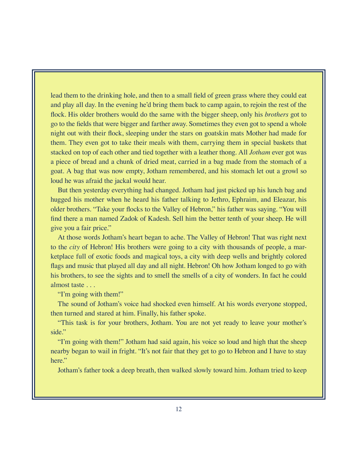Lead them to the drinking hole, and then to a small field of green grass where they could eat and play all day. In the evening he'd bring them back to camp again, to rejoin the rest of the flock. His older brothers would do the same with the bigger sheep, only his *brothers* got to go to the fields that were bigger and farther away. Sometimes they even got to spend a whole night out with their flock, sleeping under the stars on goatskin mats Mother had made for them. They even got to take their meals with them, carrying them in special baskets that stacked on top of each other and tied together with a leather thong. All *Jotham* ever got was a piece of bread and a chunk of dried meat, carried in a bag made from the stomach of a goat. A bag that was now empty, Jotham remembered, and his stomach let out a growl so loud he was afraid the jackal would hear.

But then yesterday everything had changed. Jotham had just picked up his lunch bag and hugged his mother when he heard his father talking to Jethro, Ephraim, and Eleazar, his older brothers. "Take your flocks to the Valley of Hebron," his father was saying. "You will find there a man named Zadok of Kadesh. Sell him the better tenth of your sheep. He will give you a fair price."

At those words Jotham's heart began to ache. The Valley of Hebron! That was right next to the *city* of Hebron! His brothers were going to a city with thousands of people, a marketplace full of exotic foods and magical toys, a city with deep wells and brightly colored flags and music that played all day and all night. Hebron! Oh how Jotham longed to go with his brothers, to see the sights and to smell the smells of a city of wonders. In fact he could almost taste . . .

"I'm going with them!"

The sound of Jotham's voice had shocked even himself. At his words everyone stopped, then turned and stared at him. Finally, his father spoke.

"This task is for your brothers, Jotham. You are not yet ready to leave your mother's side."

"I'm going with them!" Jotham had said again, his voice so loud and high that the sheep nearby began to wail in fright. "It's not fair that they get to go to Hebron and I have to stay here."

Jotham's father took a deep breath, then walked slowly toward him. Jotham tried to keep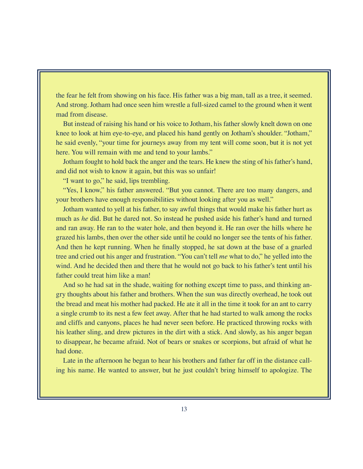the fear he felt from showing on his face. His father was a big man, tall as a tree, it seemed. And strong. Jotham had once seen him wrestle a full-sized camel to the ground when it went mad from disease.

But instead of raising his hand or his voice to Jotham, his father slowly knelt down on one knee to look at him eye-to-eye, and placed his hand gently on Jotham's shoulder. "Jotham," he said evenly, "your time for journeys away from my tent will come soon, but it is not yet here. You will remain with me and tend to your lambs."

Jotham fought to hold back the anger and the tears. He knew the sting of his father's hand, and did not wish to know it again, but this was so unfair!

"I want to go," he said, lips trembling.

"Yes, I know," his father answered. "But you cannot. There are too many dangers, and your brothers have enough responsibilities without looking after you as well."

Jotham wanted to yell at his father, to say awful things that would make his father hurt as much as *he* did. But he dared not. So instead he pushed aside his father's hand and turned and ran away. He ran to the water hole, and then beyond it. He ran over the hills where he grazed his lambs, then over the other side until he could no longer see the tents of his father. And then he kept running. When he finally stopped, he sat down at the base of a gnarled tree and cried out his anger and frustration. "You can't tell *me* what to do," he yelled into the wind. And he decided then and there that he would not go back to his father's tent until his father could treat him like a man!

And so he had sat in the shade, waiting for nothing except time to pass, and thinking angry thoughts about his father and brothers. When the sun was directly overhead, he took out the bread and meat his mother had packed. He ate it all in the time it took for an ant to carry a single crumb to its nest a few feet away. After that he had started to walk among the rocks and cliffs and canyons, places he had never seen before. He practiced throwing rocks with his leather sling, and drew pictures in the dirt with a stick. And slowly, as his anger began to disappear, he became afraid. Not of bears or snakes or scorpions, but afraid of what he had done.

Late in the afternoon he began to hear his brothers and father far off in the distance calling his name. He wanted to answer, but he just couldn't bring himself to apologize. The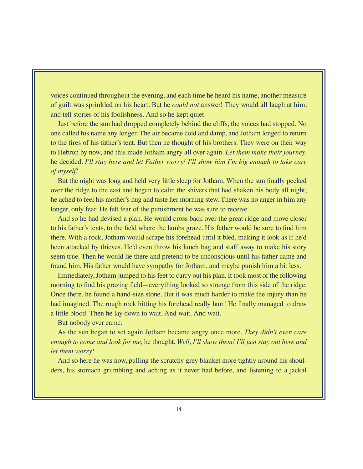voices continued throughout the evening, and each time he heard his name, another measure of guilt was sprinkled on his heart. But he *could not* answer! They would all laugh at him, and tell stories of his foolishness. And so he kept quiet.

Just before the sun had dropped completely behind the cliffs, the voices had stopped. No one called his name any longer. The air became cold and damp, and Jotham longed to return to the fires of his father's tent. But then he thought of his brothers. They were on their way to Hebron by now, and this made Jotham angry all over again. *Let them make their journey,*  he decided. *I'll stay here and let Father worry! I'll show him I'm big enough to take care of myself!*

But the night was long and held very little sleep for Jotham. When the sun finally peeked over the ridge to the east and began to calm the shivers that had shaken his body all night, he ached to feel his mother's hug and taste her morning stew. There was no anger in him any longer, only fear. He felt fear of the punishment he was sure to receive.

And so he had devised a plan. He would cross back over the great ridge and move closer to his father's tents, to the field where the lambs graze. His father would be sure to find him there. With a rock, Jotham would scrape his forehead until it bled, making it look as if he'd been attacked by thieves. He'd even throw his lunch bag and staff away to make his story seem true. Then he would lie there and pretend to be unconscious until his father came and found him. His father would have sympathy for Jotham, and maybe punish him a bit less.

Immediately, Jotham jumped to his feet to carry out his plan. It took most of the following morning to find his grazing field—everything looked so strange from this side of the ridge. Once there, he found a hand-size stone. But it was much harder to make the injury than he had imagined. The rough rock hitting his forehead really hurt! He finally managed to draw a little blood. Then he lay down to wait. And wait. And wait.

But nobody ever came.

As the sun began to set again Jotham became angry once more. *They didn't even care enough to come and look for me,* he thought. *Well, I'll show them! I'll just stay out here and let them worry!*

And so here he was now, pulling the scratchy grey blanket more tightly around his shoulders, his stomach grumbling and aching as it never had before, and listening to a jackal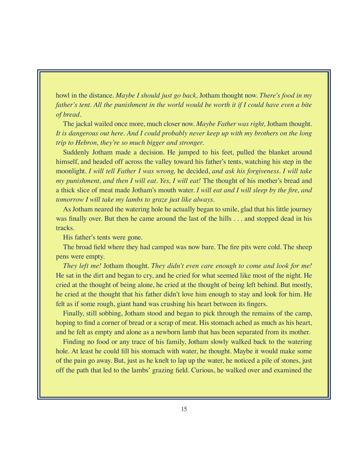howl in the distance. *Maybe I should just go back,* Jotham thought now. *There's food in my father's tent. All the punishment in the world would be worth it if I could have even a bite of bread.*

The jackal wailed once more, much closer now. *Maybe Father was right,* Jotham thought. *It is dangerous out here. And I could probably never keep up with my brothers on the long trip to Hebron, they're so much bigger and stronger.*

Suddenly Jotham made a decision. He jumped to his feet, pulled the blanket around himself, and headed off across the valley toward his father's tents, watching his step in the moonlight. *I will tell Father I was wrong,* he decided, *and ask his forgiveness. I will take my punishment, and then I will eat. Yes, I will eat!* The thought of his mother's bread and a thick slice of meat made Jotham's mouth water. *I will eat and I will sleep by the fire, and tomorrow I will take my lambs to graze just like always.*

As Jotham neared the watering hole he actually began to smile, glad that his little journey was finally over. But then he came around the last of the hills  $\dots$  and stopped dead in his tracks.

His father's tents were gone.

The broad field where they had camped was now bare. The fire pits were cold. The sheep pens were empty.

*They left me!* Jotham thought. *They didn't even care enough to come and look for me!*  He sat in the dirt and began to cry, and he cried for what seemed like most of the night. He cried at the thought of being alone, he cried at the thought of being left behind. But mostly, he cried at the thought that his father didn't love him enough to stay and look for him. He felt as if some rough, giant hand was crushing his heart between its fingers.

Finally, still sobbing, Jotham stood and began to pick through the remains of the camp, hoping to find a corner of bread or a scrap of meat. His stomach ached as much as his heart, and he felt as empty and alone as a newborn lamb that has been separated from its mother.

Finding no food or any trace of his family, Jotham slowly walked back to the watering hole. At least he could fill his stomach with water, he thought. Maybe it would make some of the pain go away. But, just as he knelt to lap up the water, he noticed a pile of stones, just off the path that led to the lambs' grazing field. Curious, he walked over and examined the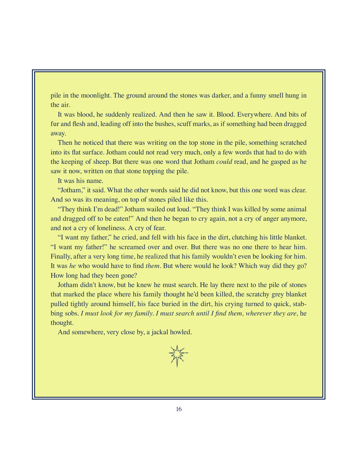pile in the moonlight. The ground around the stones was darker, and a funny smell hung in the air.

It was blood, he suddenly realized. And then he saw it. Blood. Everywhere. And bits of fur and flesh and, leading off into the bushes, scuff marks, as if something had been dragged away.

Then he noticed that there was writing on the top stone in the pile, something scratched into its flat surface. Jotham could not read very much, only a few words that had to do with the keeping of sheep. But there was one word that Jotham *could* read, and he gasped as he saw it now, written on that stone topping the pile.

It was his name.

"Jotham," it said. What the other words said he did not know, but this one word was clear. And so was its meaning, on top of stones piled like this.

"They think I'm dead!" Jotham wailed out loud. "They think I was killed by some animal and dragged off to be eaten!" And then he began to cry again, not a cry of anger anymore, and not a cry of loneliness. A cry of fear.

"I want my father," he cried, and fell with his face in the dirt, clutching his little blanket. "I want my father!" he screamed over and over. But there was no one there to hear him. Finally, after a very long time, he realized that his family wouldn't even be looking for him. It was *he* who would have to find *them*. But where would he look? Which way did they go? How long had they been gone?

Jotham didn't know, but he knew he must search. He lay there next to the pile of stones that marked the place where his family thought he'd been killed, the scratchy grey blanket pulled tightly around himself, his face buried in the dirt, his crying turned to quick, stabbing sobs. *I must look for my family. I must search until I find them, wherever they are, he* thought.

And somewhere, very close by, a jackal howled.

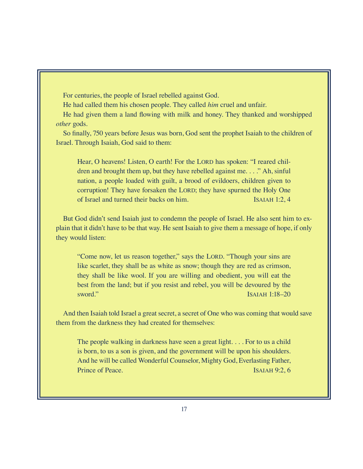For centuries, the people of Israel rebelled against God.

He had called them his chosen people. They called *him* cruel and unfair.

He had given them a land flowing with milk and honey. They thanked and worshipped *other* gods.

So finally, 750 years before Jesus was born, God sent the prophet Isaiah to the children of Israel. Through Isaiah, God said to them:

Hear, O heavens! Listen, O earth! For the LORD has spoken: "I reared children and brought them up, but they have rebelled against me. . . ." Ah, sinful nation, a people loaded with guilt, a brood of evildoers, children given to corruption! They have forsaken the LORD; they have spurned the Holy One of Israel and turned their backs on him. ISAIAH 1:2, 4

But God didn't send Isaiah just to condemn the people of Israel. He also sent him to explain that it didn't have to be that way. He sent Isaiah to give them a message of hope, if only they would listen:

"Come now, let us reason together," says the LORD. "Though your sins are like scarlet, they shall be as white as snow; though they are red as crimson, they shall be like wool. If you are willing and obedient, you will eat the best from the land; but if you resist and rebel, you will be devoured by the sword." ISAIAH 1:18–20

And then Isaiah told Israel a great secret, a secret of One who was coming that would save them from the darkness they had created for themselves:

The people walking in darkness have seen a great light. . . . For to us a child is born, to us a son is given, and the government will be upon his shoulders. And he will be called Wonderful Counselor, Mighty God, Everlasting Father, Prince of Peace. ISAIAH 9:2, 6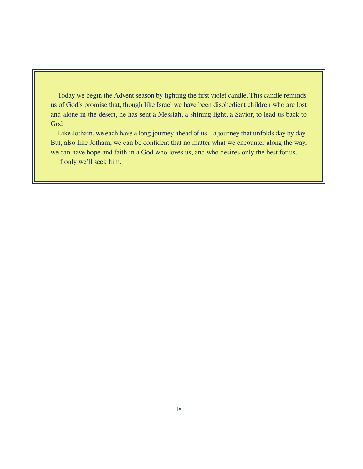Today we begin the Advent season by lighting the first violet candle. This candle reminds us of God's promise that, though like Israel we have been disobedient children who are lost and alone in the desert, he has sent a Messiah, a shining light, a Savior, to lead us back to God.

Like Jotham, we each have a long journey ahead of us—a journey that unfolds day by day. But, also like Jotham, we can be confident that no matter what we encounter along the way, we can have hope and faith in a God who loves us, and who desires only the best for us. If only we'll seek him.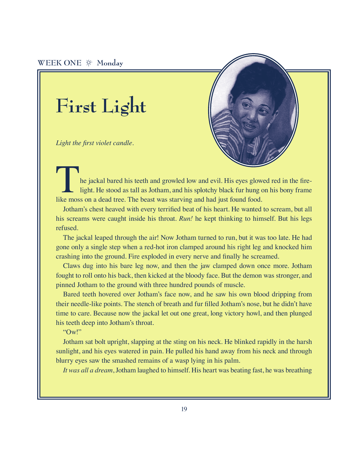**WEEK ONE \* Monday** 

### **First Light**

*Light the first violet candle.* 



he jackal bared his teeth and growled low and evil. His eyes glowed red in the firelight. He stood as tall as Jotham, and his splotchy black fur hung on his bony frame like moss on a dead tree. The beast was starving and had just found food.

Jotham's chest heaved with every terrified beat of his heart. He wanted to scream, but all his screams were caught inside his throat. *Run!* he kept thinking to himself. But his legs refused.

The jackal leaped through the air! Now Jotham turned to run, but it was too late. He had gone only a single step when a red-hot iron clamped around his right leg and knocked him crashing into the ground. Fire exploded in every nerve and finally he screamed.

Claws dug into his bare leg now, and then the jaw clamped down once more. Jotham fought to roll onto his back, then kicked at the bloody face. But the demon was stronger, and pinned Jotham to the ground with three hundred pounds of muscle.

Bared teeth hovered over Jotham's face now, and he saw his own blood dripping from their needle-like points. The stench of breath and fur filled Jotham's nose, but he didn't have time to care. Because now the jackal let out one great, long victory howl, and then plunged his teeth deep into Jotham's throat.

"Ow!"

Jotham sat bolt upright, slapping at the sting on his neck. He blinked rapidly in the harsh sunlight, and his eyes watered in pain. He pulled his hand away from his neck and through blurry eyes saw the smashed remains of a wasp lying in his palm.

*It was all a dream*, Jotham laughed to himself. His heart was beating fast, he was breathing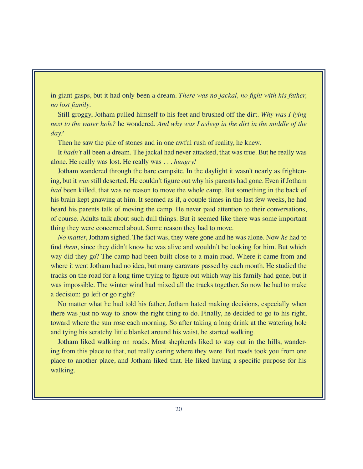in giant gasps, but it had only been a dream. *There was no jackal, no fight with his father*, *no lost family.*

Still groggy, Jotham pulled himself to his feet and brushed off the dirt. *Why was I lying next to the water hole?* he wondered. *And why was I asleep in the dirt in the middle of the day?*

Then he saw the pile of stones and in one awful rush of reality, he knew.

It *hadn't* all been a dream. The jackal had never attacked, that was true. But he really was alone. He really was lost. He really was . . . *hungry!*

Jotham wandered through the bare campsite. In the daylight it wasn't nearly as frightening, but it *was* still deserted. He couldn't figure out why his parents had gone. Even if Jotham *had* been killed, that was no reason to move the whole camp. But something in the back of his brain kept gnawing at him. It seemed as if, a couple times in the last few weeks, he had heard his parents talk of moving the camp. He never paid attention to their conversations, of course. Adults talk about such dull things. But it seemed like there was some important thing they were concerned about. Some reason they had to move.

*No matter*, Jotham sighed. The fact was, they were gone and he was alone. Now *he* had to find *them*, since they didn't know he was alive and wouldn't be looking for him. But which way did they go? The camp had been built close to a main road. Where it came from and where it went Jotham had no idea, but many caravans passed by each month. He studied the tracks on the road for a long time trying to figure out which way his family had gone, but it was impossible. The winter wind had mixed all the tracks together. So now he had to make a decision: go left or go right?

No matter what he had told his father, Jotham hated making decisions, especially when there was just no way to know the right thing to do. Finally, he decided to go to his right, toward where the sun rose each morning. So after taking a long drink at the watering hole and tying his scratchy little blanket around his waist, he started walking.

Jotham liked walking on roads. Most shepherds liked to stay out in the hills, wandering from this place to that, not really caring where they were. But roads took you from one place to another place, and Jotham liked that. He liked having a specific purpose for his walking.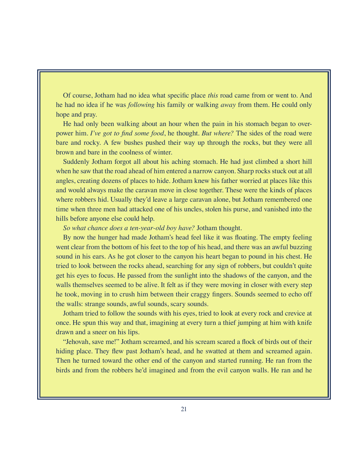Of course, Jotham had no idea what specific place *this* road came from or went to. And he had no idea if he was *following* his family or walking *away* from them. He could only hope and pray.

He had only been walking about an hour when the pain in his stomach began to overpower him. *I've got to find some food*, he thought. *But where?* The sides of the road were bare and rocky. A few bushes pushed their way up through the rocks, but they were all brown and bare in the coolness of winter.

Suddenly Jotham forgot all about his aching stomach. He had just climbed a short hill when he saw that the road ahead of him entered a narrow canyon. Sharp rocks stuck out at all angles, creating dozens of places to hide. Jotham knew his father worried at places like this and would always make the caravan move in close together. These were the kinds of places where robbers hid. Usually they'd leave a large caravan alone, but Jotham remembered one time when three men had attacked one of his uncles, stolen his purse, and vanished into the hills before anyone else could help.

#### *So what chance does a ten-year-old boy have?* Jotham thought.

By now the hunger had made Jotham's head feel like it was floating. The empty feeling went clear from the bottom of his feet to the top of his head, and there was an awful buzzing sound in his ears. As he got closer to the canyon his heart began to pound in his chest. He tried to look between the rocks ahead, searching for any sign of robbers, but couldn't quite get his eyes to focus. He passed from the sunlight into the shadows of the canyon, and the walls themselves seemed to be alive. It felt as if they were moving in closer with every step he took, moving in to crush him between their craggy fingers. Sounds seemed to echo off the walls: strange sounds, awful sounds, scary sounds.

Jotham tried to follow the sounds with his eyes, tried to look at every rock and crevice at once. He spun this way and that, imagining at every turn a thief jumping at him with knife drawn and a sneer on his lips.

"Jehovah, save me!" Jotham screamed, and his scream scared a flock of birds out of their hiding place. They flew past Jotham's head, and he swatted at them and screamed again. Then he turned toward the other end of the canyon and started running. He ran from the birds and from the robbers he'd imagined and from the evil canyon walls. He ran and he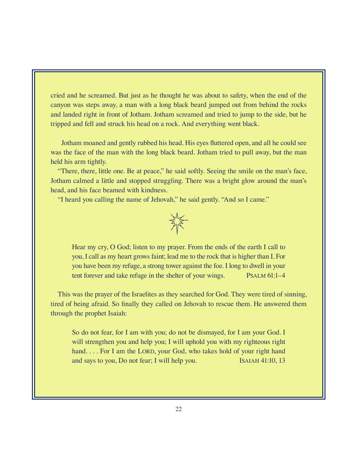cried and he screamed. But just as he thought he was about to safety, when the end of the canyon was steps away, a man with a long black beard jumped out from behind the rocks and landed right in front of Jotham. Jotham screamed and tried to jump to the side, but he tripped and fell and struck his head on a rock. And everything went black.

Jotham moaned and gently rubbed his head. His eyes fluttered open, and all he could see was the face of the man with the long black beard. Jotham tried to pull away, but the man held his arm tightly.

"There, there, little one. Be at peace," he said softly. Seeing the smile on the man's face, Jotham calmed a little and stopped struggling. There was a bright glow around the man's head, and his face beamed with kindness.

"I heard you calling the name of Jehovah," he said gently. "And so I came."



Hear my cry, O God; listen to my prayer. From the ends of the earth I call to you, I call as my heart grows faint; lead me to the rock that is higher than I. For you have been my refuge, a strong tower against the foe. I long to dwell in your tent forever and take refuge in the shelter of your wings. PSALM 61:1–4

This was the prayer of the Israelites as they searched for God. They were tired of sinning, tired of being afraid. So finally they called on Jehovah to rescue them. He answered them through the prophet Isaiah:

So do not fear, for I am with you; do not be dismayed, for I am your God. I will strengthen you and help you; I will uphold you with my righteous right hand. . . . For I am the LORD, your God, who takes hold of your right hand and says to you, Do not fear; I will help you. ISAIAH 41:10, 13